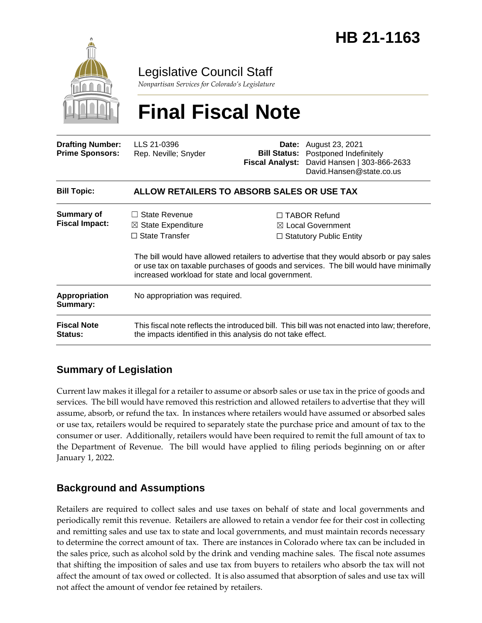

Legislative Council Staff

*Nonpartisan Services for Colorado's Legislature*

# **Final Fiscal Note**

| <b>Drafting Number:</b><br><b>Prime Sponsors:</b> | LLS 21-0396<br>Rep. Neville; Snyder                                                                                                                          | <b>Fiscal Analyst:</b> | <b>Date:</b> August 23, 2021<br><b>Bill Status:</b> Postponed Indefinitely<br>David Hansen   303-866-2633<br>David.Hansen@state.co.us                                                                                                                                   |
|---------------------------------------------------|--------------------------------------------------------------------------------------------------------------------------------------------------------------|------------------------|-------------------------------------------------------------------------------------------------------------------------------------------------------------------------------------------------------------------------------------------------------------------------|
| <b>Bill Topic:</b>                                | ALLOW RETAILERS TO ABSORB SALES OR USE TAX                                                                                                                   |                        |                                                                                                                                                                                                                                                                         |
| <b>Summary of</b><br><b>Fiscal Impact:</b>        | State Revenue<br>$\Box$<br>$\boxtimes$ State Expenditure<br>$\Box$ State Transfer<br>increased workload for state and local government.                      |                        | $\Box$ TABOR Refund<br>$\boxtimes$ Local Government<br>$\Box$ Statutory Public Entity<br>The bill would have allowed retailers to advertise that they would absorb or pay sales<br>or use tax on taxable purchases of goods and services. The bill would have minimally |
| <b>Appropriation</b><br>Summary:                  | No appropriation was required.                                                                                                                               |                        |                                                                                                                                                                                                                                                                         |
| <b>Fiscal Note</b><br><b>Status:</b>              | This fiscal note reflects the introduced bill. This bill was not enacted into law; therefore,<br>the impacts identified in this analysis do not take effect. |                        |                                                                                                                                                                                                                                                                         |

# **Summary of Legislation**

Current law makes it illegal for a retailer to assume or absorb sales or use tax in the price of goods and services. The bill would have removed this restriction and allowed retailers to advertise that they will assume, absorb, or refund the tax. In instances where retailers would have assumed or absorbed sales or use tax, retailers would be required to separately state the purchase price and amount of tax to the consumer or user. Additionally, retailers would have been required to remit the full amount of tax to the Department of Revenue. The bill would have applied to filing periods beginning on or after January 1, 2022.

# **Background and Assumptions**

Retailers are required to collect sales and use taxes on behalf of state and local governments and periodically remit this revenue. Retailers are allowed to retain a vendor fee for their cost in collecting and remitting sales and use tax to state and local governments, and must maintain records necessary to determine the correct amount of tax. There are instances in Colorado where tax can be included in the sales price, such as alcohol sold by the drink and vending machine sales. The fiscal note assumes that shifting the imposition of sales and use tax from buyers to retailers who absorb the tax will not affect the amount of tax owed or collected. It is also assumed that absorption of sales and use tax will not affect the amount of vendor fee retained by retailers.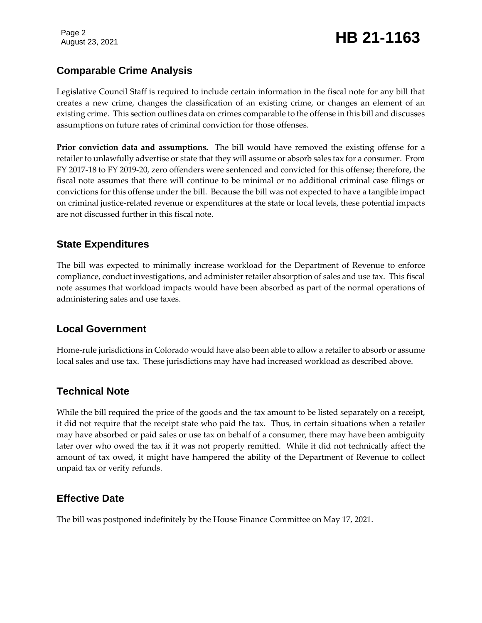# August 23, 2021 **HB 21-1163**

## **Comparable Crime Analysis**

Legislative Council Staff is required to include certain information in the fiscal note for any bill that creates a new crime, changes the classification of an existing crime, or changes an element of an existing crime. This section outlines data on crimes comparable to the offense in this bill and discusses assumptions on future rates of criminal conviction for those offenses.

**Prior conviction data and assumptions.** The bill would have removed the existing offense for a retailer to unlawfully advertise or state that they will assume or absorb sales tax for a consumer. From FY 2017-18 to FY 2019-20, zero offenders were sentenced and convicted for this offense; therefore, the fiscal note assumes that there will continue to be minimal or no additional criminal case filings or convictions for this offense under the bill. Because the bill was not expected to have a tangible impact on criminal justice-related revenue or expenditures at the state or local levels, these potential impacts are not discussed further in this fiscal note.

#### **State Expenditures**

The bill was expected to minimally increase workload for the Department of Revenue to enforce compliance, conduct investigations, and administer retailer absorption of sales and use tax. This fiscal note assumes that workload impacts would have been absorbed as part of the normal operations of administering sales and use taxes.

#### **Local Government**

Home-rule jurisdictions in Colorado would have also been able to allow a retailer to absorb or assume local sales and use tax. These jurisdictions may have had increased workload as described above.

### **Technical Note**

While the bill required the price of the goods and the tax amount to be listed separately on a receipt, it did not require that the receipt state who paid the tax. Thus, in certain situations when a retailer may have absorbed or paid sales or use tax on behalf of a consumer, there may have been ambiguity later over who owed the tax if it was not properly remitted. While it did not technically affect the amount of tax owed, it might have hampered the ability of the Department of Revenue to collect unpaid tax or verify refunds.

### **Effective Date**

The bill was postponed indefinitely by the House Finance Committee on May 17, 2021.